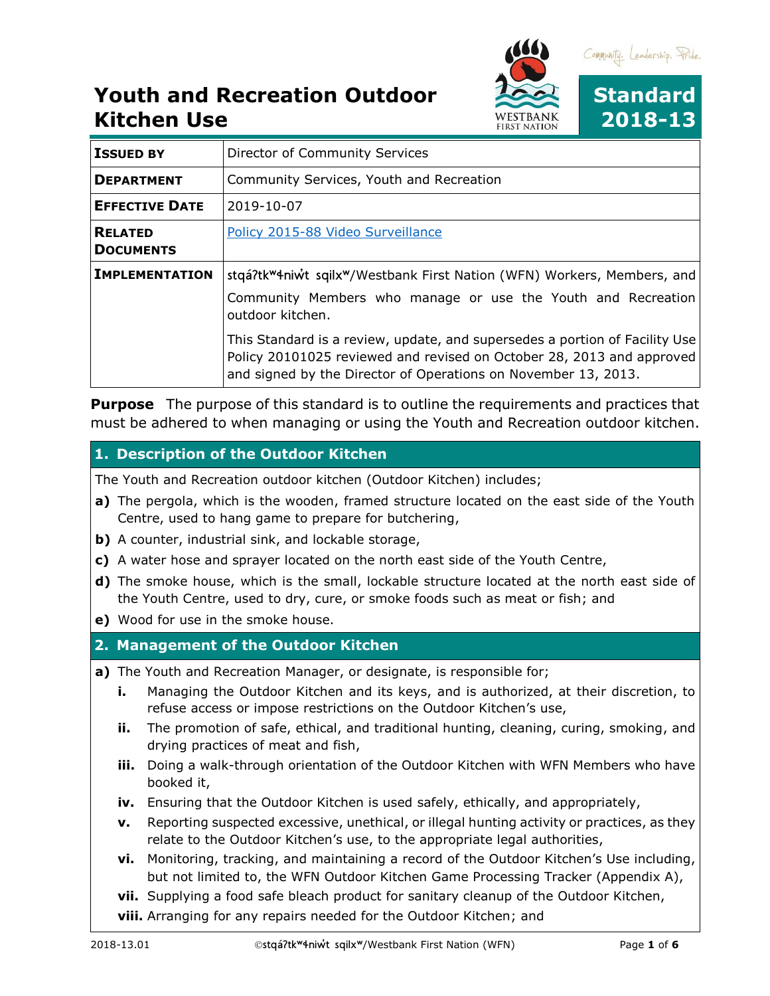

| <b>ISSUED BY</b>                   | Director of Community Services                                                                                                                                                                                         |
|------------------------------------|------------------------------------------------------------------------------------------------------------------------------------------------------------------------------------------------------------------------|
| <b>DEPARTMENT</b>                  | Community Services, Youth and Recreation                                                                                                                                                                               |
| <b>EFFECTIVE DATE</b>              | 2019-10-07                                                                                                                                                                                                             |
| <b>RELATED</b><br><b>DOCUMENTS</b> | Policy 2015-88 Video Surveillance                                                                                                                                                                                      |
| <b>IMPLEMENTATION</b>              | stqá?tk <sup>w</sup> 4niwt sqilx <sup>w</sup> /Westbank First Nation (WFN) Workers, Members, and<br>Community Members who manage or use the Youth and Recreation<br>outdoor kitchen.                                   |
|                                    | This Standard is a review, update, and supersedes a portion of Facility Use<br>Policy 20101025 reviewed and revised on October 28, 2013 and approved<br>and signed by the Director of Operations on November 13, 2013. |

**Purpose** The purpose of this standard is to outline the requirements and practices that must be adhered to when managing or using the Youth and Recreation outdoor kitchen.

### **1. Description of the Outdoor Kitchen**

The Youth and Recreation outdoor kitchen (Outdoor Kitchen) includes;

- **a)** The pergola, which is the wooden, framed structure located on the east side of the Youth Centre, used to hang game to prepare for butchering,
- **b)** A counter, industrial sink, and lockable storage,
- **c)** A water hose and sprayer located on the north east side of the Youth Centre,
- **d)** The smoke house, which is the small, lockable structure located at the north east side of the Youth Centre, used to dry, cure, or smoke foods such as meat or fish; and
- **e)** Wood for use in the smoke house.

### **2. Management of the Outdoor Kitchen**

- **a)** The Youth and Recreation Manager, or designate, is responsible for;
	- **i.** Managing the Outdoor Kitchen and its keys, and is authorized, at their discretion, to refuse access or impose restrictions on the Outdoor Kitchen's use,
	- **ii.** The promotion of safe, ethical, and traditional hunting, cleaning, curing, smoking, and drying practices of meat and fish,
	- **iii.** Doing a walk-through orientation of the Outdoor Kitchen with WFN Members who have booked it,
	- **iv.** Ensuring that the Outdoor Kitchen is used safely, ethically, and appropriately,
	- **v.** Reporting suspected excessive, unethical, or illegal hunting activity or practices, as they relate to the Outdoor Kitchen's use, to the appropriate legal authorities,
	- **vi.** Monitoring, tracking, and maintaining a record of the Outdoor Kitchen's Use including, but not limited to, the WFN Outdoor Kitchen Game Processing Tracker (Appendix A),
	- **vii.** Supplying a food safe bleach product for sanitary cleanup of the Outdoor Kitchen,
	- **viii.** Arranging for any repairs needed for the Outdoor Kitchen; and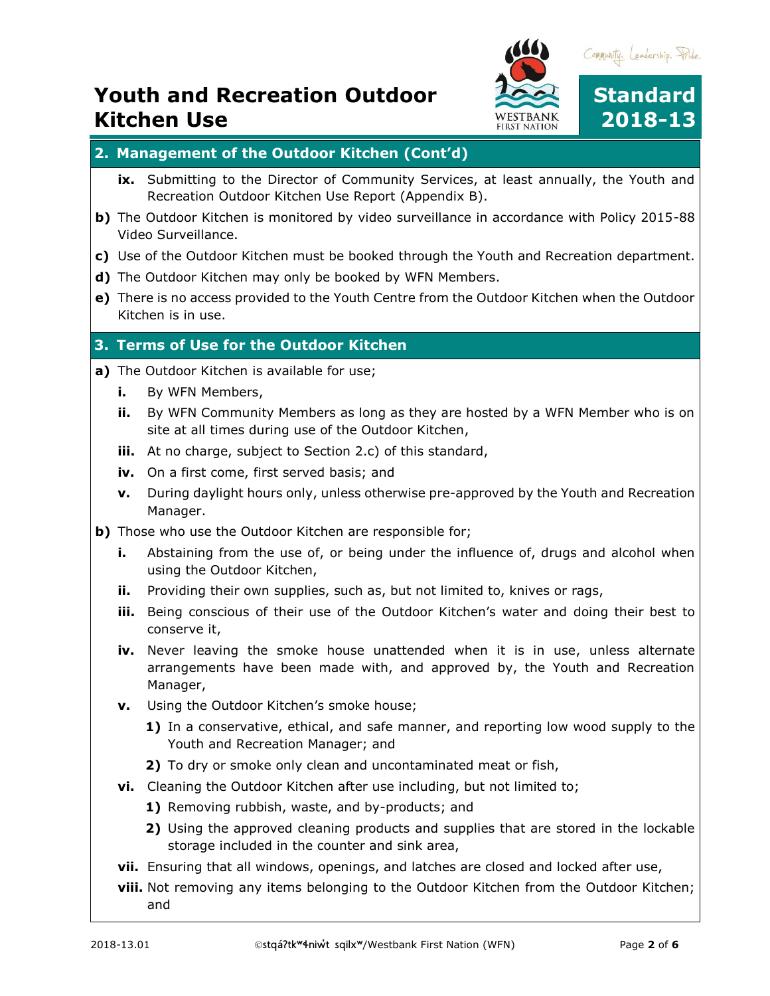

#### **2. Management of the Outdoor Kitchen (Cont'd)**

- **ix.** Submitting to the Director of Community Services, at least annually, the Youth and Recreation Outdoor Kitchen Use Report (Appendix B).
- **b)** The Outdoor Kitchen is monitored by video surveillance in accordance with Policy 2015-88 Video Surveillance.
- **c)** Use of the Outdoor Kitchen must be booked through the Youth and Recreation department.
- **d)** The Outdoor Kitchen may only be booked by WFN Members.
- **e)** There is no access provided to the Youth Centre from the Outdoor Kitchen when the Outdoor Kitchen is in use.

#### **3. Terms of Use for the Outdoor Kitchen**

- **a)** The Outdoor Kitchen is available for use;
	- **i.** By WFN Members,
	- **ii.** By WFN Community Members as long as they are hosted by a WFN Member who is on site at all times during use of the Outdoor Kitchen,
	- **iii.** At no charge, subject to Section 2.c) of this standard,
	- **iv.** On a first come, first served basis; and
	- **v.** During daylight hours only, unless otherwise pre-approved by the Youth and Recreation Manager.
- **b)** Those who use the Outdoor Kitchen are responsible for;
	- **i.** Abstaining from the use of, or being under the influence of, drugs and alcohol when using the Outdoor Kitchen,
	- **ii.** Providing their own supplies, such as, but not limited to, knives or rags,
	- **iii.** Being conscious of their use of the Outdoor Kitchen's water and doing their best to conserve it,
	- **iv.** Never leaving the smoke house unattended when it is in use, unless alternate arrangements have been made with, and approved by, the Youth and Recreation Manager,
	- **v.** Using the Outdoor Kitchen's smoke house;
		- **1)** In a conservative, ethical, and safe manner, and reporting low wood supply to the Youth and Recreation Manager; and
		- **2)** To dry or smoke only clean and uncontaminated meat or fish,
	- **vi.** Cleaning the Outdoor Kitchen after use including, but not limited to;
		- **1)** Removing rubbish, waste, and by-products; and
		- **2)** Using the approved cleaning products and supplies that are stored in the lockable storage included in the counter and sink area,
	- **vii.** Ensuring that all windows, openings, and latches are closed and locked after use,
	- **viii.** Not removing any items belonging to the Outdoor Kitchen from the Outdoor Kitchen; and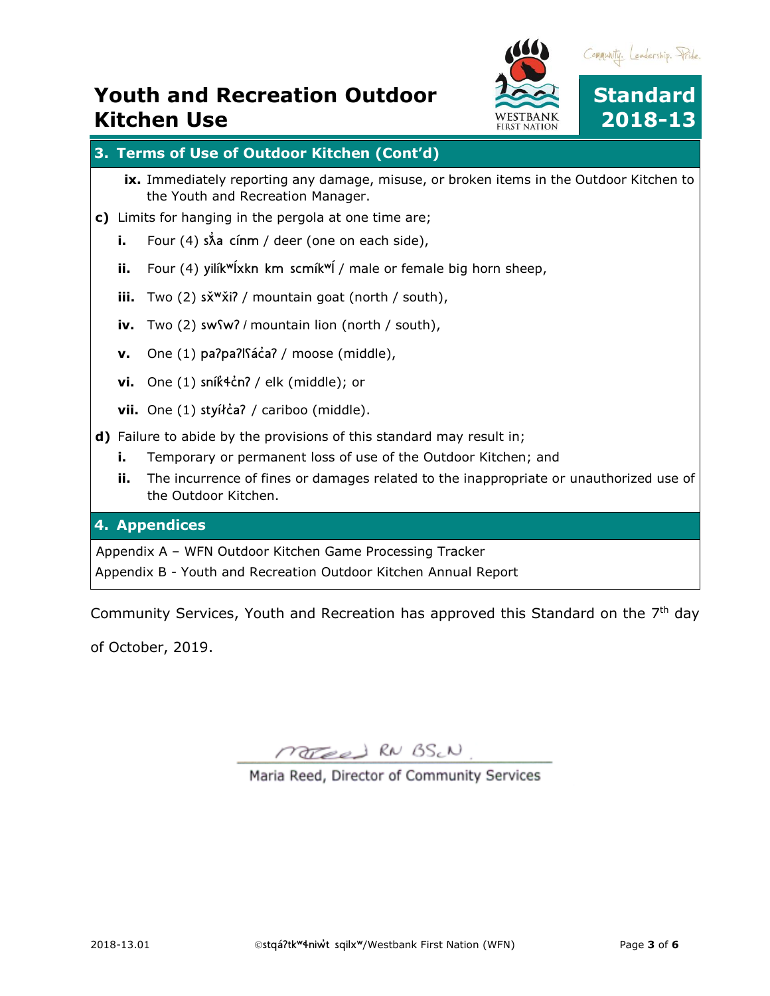

### **3. Terms of Use of Outdoor Kitchen (Cont'd)**

- **ix.** Immediately reporting any damage, misuse, or broken items in the Outdoor Kitchen to the Youth and Recreation Manager.
- **c)** Limits for hanging in the pergola at one time are;
	- **i.** Four (4)  $\sinh(\theta)$  cinm / deer (one on each side),
	- **ii.** Four (4) yilík<sup>w</sup>ĺxkn km scmík<sup>w</sup>ĺ / male or female big horn sheep,
	- **iii.** Two (2) sx<sup>w</sup>xi? / mountain goat (north / south),
	- **iv.** Two (2) swʕwʔ / mountain lion (north / south),
	- **v.** One (1) paʔpaʔlʕác̓aʔ / moose (middle),
	- **vi.** One (1) sník̓ɬc̓nʔ / elk (middle); or
	- vii. One (1) styíłc<sup>z</sup> / cariboo (middle).
- **d)** Failure to abide by the provisions of this standard may result in;
	- **i.** Temporary or permanent loss of use of the Outdoor Kitchen; and
	- **ii.** The incurrence of fines or damages related to the inappropriate or unauthorized use of the Outdoor Kitchen.

#### **4. Appendices**

Appendix A – WFN Outdoor Kitchen Game Processing Tracker

Appendix B - Youth and Recreation Outdoor Kitchen Annual Report

Community Services, Youth and Recreation has approved this Standard on the  $7<sup>th</sup>$  day

of October, 2019.

MOTED RN BS.N

Maria Reed, Director of Community Services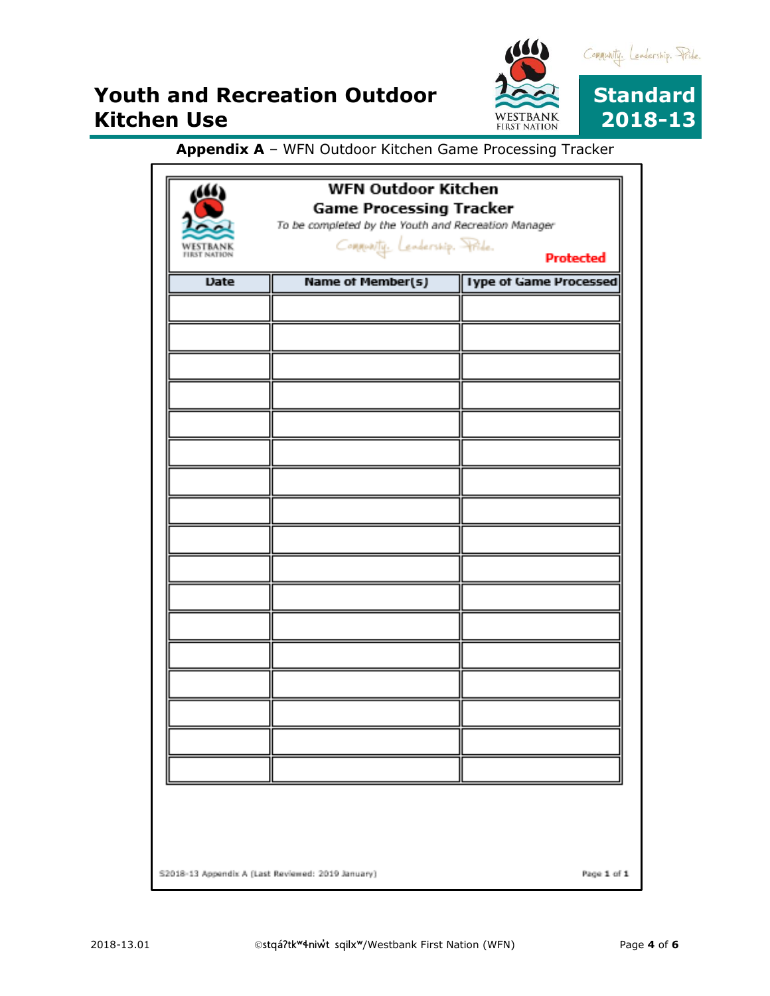

### **Appendix A** – WFN Outdoor Kitchen Game Processing Tracker

| WESTBANK<br><b>FIRST NATION</b> | <b>WFN Outdoor Kitchen</b><br><b>Game Processing Tracker</b><br>To be completed by the Youth and Recreation Manager<br>Commonity, Lendership, Pride.<br><b>Protected</b> |                               |  |
|---------------------------------|--------------------------------------------------------------------------------------------------------------------------------------------------------------------------|-------------------------------|--|
| <b>Date</b>                     | <b>Name of Member(s)</b>                                                                                                                                                 | <b>Iype of Game Processed</b> |  |
|                                 |                                                                                                                                                                          |                               |  |
|                                 |                                                                                                                                                                          |                               |  |
|                                 |                                                                                                                                                                          |                               |  |
|                                 |                                                                                                                                                                          |                               |  |
|                                 |                                                                                                                                                                          |                               |  |
|                                 |                                                                                                                                                                          |                               |  |
|                                 |                                                                                                                                                                          |                               |  |
|                                 |                                                                                                                                                                          |                               |  |
|                                 |                                                                                                                                                                          |                               |  |
|                                 |                                                                                                                                                                          |                               |  |
|                                 |                                                                                                                                                                          |                               |  |
|                                 |                                                                                                                                                                          |                               |  |
|                                 |                                                                                                                                                                          |                               |  |
|                                 |                                                                                                                                                                          |                               |  |
|                                 |                                                                                                                                                                          |                               |  |
|                                 |                                                                                                                                                                          |                               |  |
|                                 |                                                                                                                                                                          |                               |  |
|                                 |                                                                                                                                                                          |                               |  |
|                                 |                                                                                                                                                                          |                               |  |
|                                 |                                                                                                                                                                          |                               |  |
|                                 |                                                                                                                                                                          |                               |  |
|                                 |                                                                                                                                                                          |                               |  |
|                                 | S2018-13 Appendix A (Last Reviewed: 2019 January)                                                                                                                        | Page 1 of 1                   |  |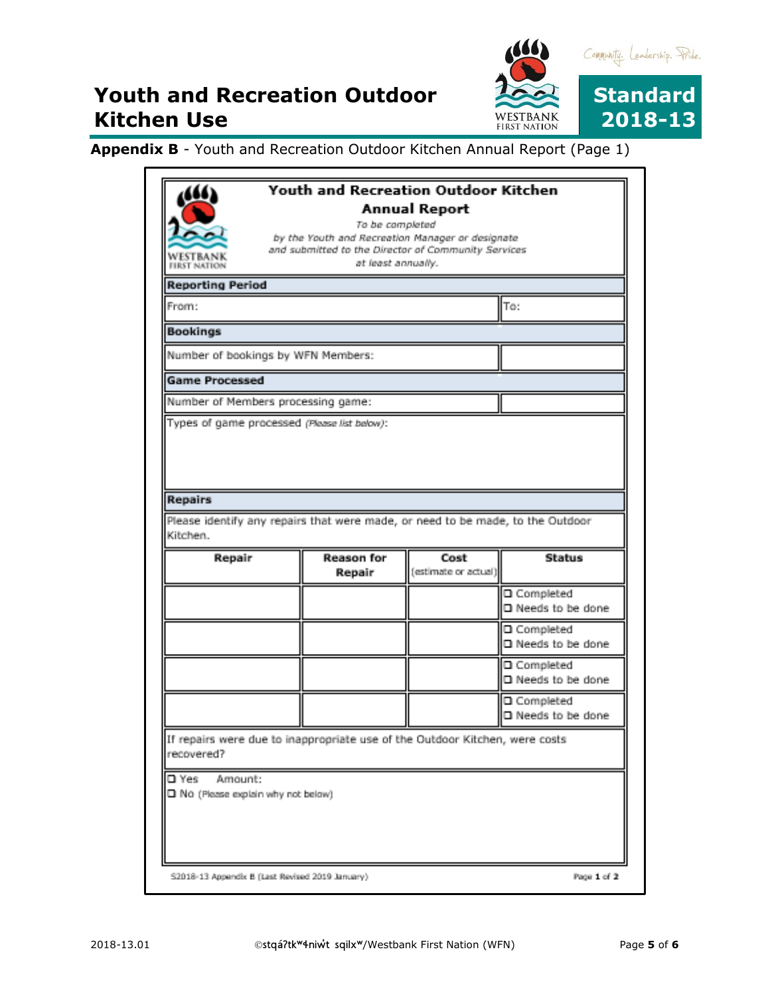

**Appendix B** - Youth and Recreation Outdoor Kitchen Annual Report (Page 1)

| WESTBANK<br><b>FIRST NATION</b>    |                                                                                                     |                      | Youth and Recreation Outdoor Kitchen |
|------------------------------------|-----------------------------------------------------------------------------------------------------|----------------------|--------------------------------------|
|                                    |                                                                                                     | <b>Annual Report</b> |                                      |
|                                    |                                                                                                     | To be completed      |                                      |
|                                    | by the Youth and Recreation Manager or designate                                                    |                      |                                      |
|                                    | and submitted to the Director of Community Services<br>at least annually.                           |                      |                                      |
|                                    |                                                                                                     |                      |                                      |
| <b>Reporting Period</b>            |                                                                                                     |                      |                                      |
| From:                              |                                                                                                     |                      | To:                                  |
| <b>Bookings</b>                    |                                                                                                     |                      |                                      |
| Number of bookings by WFN Members: |                                                                                                     |                      |                                      |
| <b>Game Processed</b>              |                                                                                                     |                      |                                      |
| Number of Members processing game: |                                                                                                     |                      |                                      |
|                                    | Types of game processed (Please list below):                                                        |                      |                                      |
| Kitchen.                           | Please identify any repairs that were made, or need to be made, to the Outdoor<br><b>Reason for</b> | Cost                 | <b>Status</b>                        |
|                                    |                                                                                                     |                      |                                      |
| Repair                             | Repair                                                                                              | (estimate or actual) |                                      |
|                                    |                                                                                                     |                      | O Completed                          |
|                                    |                                                                                                     |                      | □ Needs to be done                   |
|                                    |                                                                                                     |                      | □ Completed                          |
|                                    |                                                                                                     |                      | □ Needs to be done                   |
|                                    |                                                                                                     |                      | O Completed                          |
|                                    |                                                                                                     |                      | □ Needs to be done                   |
|                                    |                                                                                                     |                      | □ Completed                          |
|                                    |                                                                                                     |                      | □ Needs to be done                   |
|                                    | If repairs were due to inappropriate use of the Outdoor Kitchen, were costs                         |                      |                                      |
| recovered?                         |                                                                                                     |                      |                                      |
|                                    |                                                                                                     |                      |                                      |
| □ Yes<br>Amount:                   |                                                                                                     |                      |                                      |
| Rio (Please explain why not below) |                                                                                                     |                      |                                      |
|                                    |                                                                                                     |                      |                                      |
|                                    |                                                                                                     |                      |                                      |
|                                    |                                                                                                     |                      |                                      |
|                                    |                                                                                                     |                      |                                      |